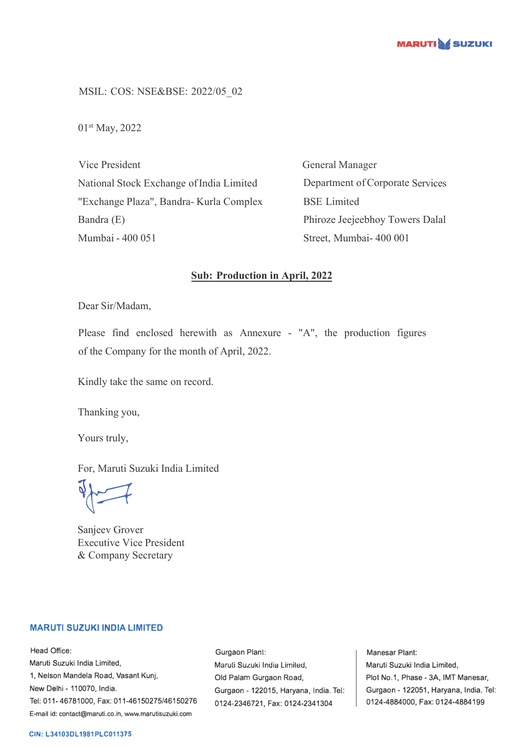

MSIL: COS: NSE&BSE: 2022/05\_02

01st May, 2022

Vice President National Stock Exchange of India Limited "Exchange Plaza", Bandra- Kurla Complex Bandra (E) Mumbai - 400 051

General Manager Department of Corporate Services BSE Limited Phiroze Jeejeebhoy Towers Dalal Street, Mumbai- 400 001

## **Sub: Production in April, 2022**

Dear Sir/Madam,

Please find enclosed herewith as Annexure - "A", the production figures of the Company for the month of April, 2022.

Kindly take the same on record.

Thanking you,

Yours truly,

For, Maruti Suzuki India Limited

 $\sqrt{2}$ 

Sanjeev Grover Executive Vice President & Company Secretary

## **MARUTI SUZUKI INDIA LIMITED**

Head Office: Maruti Suzuki India Limited, 1, Nelson Mandela Road, Vasant Kunj, New Delhi - 110070, India. Tel: 011-46781000, Fax: 011-46150275/46150276 E-mail id: contact@maruti.co.in, www.marutisuzuki.com

Gurgaon Plant: Maruli Suzuki India Lirniled, Old Palam Gurgaon Road, Gurgaon - 122015, Haryana, India. Tel: 0124-2346721, Fax: 0124-2341304

Manesar Plant: Maruti Suzuki India Limited, Plot No.1, Phase - 3A, IMT Manesar, Gurgaon - 122051, Haryana, India. Tel: 0124-4884000, Fax: 0124-4884199

## **CIN: L34103DL1981PLC011375**